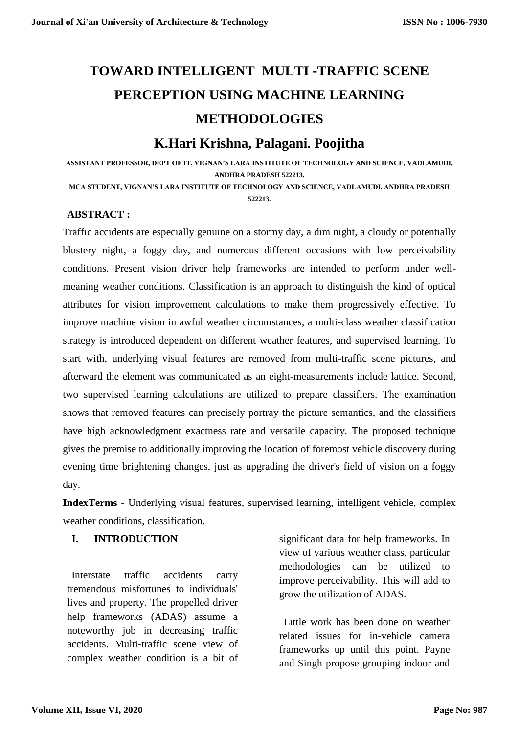# **[TOWARD INTELLIGENT](https://ieeexplore.ieee.org/document/8734236/) MULTI -TRAFFIC SCENE PERCEPTION USING MACHINE LEARNING METHODOLOGIES**

# **K.Hari Krishna, Palagani. Poojitha**

**ASSISTANT PROFESSOR, DEPT OF IT, VIGNAN'S LARA INSTITUTE OF TECHNOLOGY AND SCIENCE, VADLAMUDI, ANDHRA PRADESH 522213.**

**MCA STUDENT, VIGNAN'S LARA INSTITUTE OF TECHNOLOGY AND SCIENCE, VADLAMUDI, ANDHRA PRADESH 522213.**

## **ABSTRACT :**

Traffic accidents are especially genuine on a stormy day, a dim night, a cloudy or potentially blustery night, a foggy day, and numerous different occasions with low perceivability conditions. Present vision driver help frameworks are intended to perform under wellmeaning weather conditions. Classification is an approach to distinguish the kind of optical attributes for vision improvement calculations to make them progressively effective. To improve machine vision in awful weather circumstances, a multi-class weather classification strategy is introduced dependent on different weather features, and supervised learning. To start with, underlying visual features are removed from multi-traffic scene pictures, and afterward the element was communicated as an eight-measurements include lattice. Second, two supervised learning calculations are utilized to prepare classifiers. The examination shows that removed features can precisely portray the picture semantics, and the classifiers have high acknowledgment exactness rate and versatile capacity. The proposed technique gives the premise to additionally improving the location of foremost vehicle discovery during evening time brightening changes, just as upgrading the driver's field of vision on a foggy day.

**IndexTerms -** Underlying visual features, supervised learning, intelligent vehicle, complex weather conditions, classification.

#### **I. INTRODUCTION**

Interstate traffic accidents carry tremendous misfortunes to individuals' lives and property. The propelled driver help frameworks (ADAS) assume a noteworthy job in decreasing traffic accidents. Multi-traffic scene view of complex weather condition is a bit of significant data for help frameworks. In view of various weather class, particular methodologies can be utilized to improve perceivability. This will add to grow the utilization of ADAS.

Little work has been done on weather related issues for in-vehicle camera frameworks up until this point. Payne and Singh propose grouping indoor and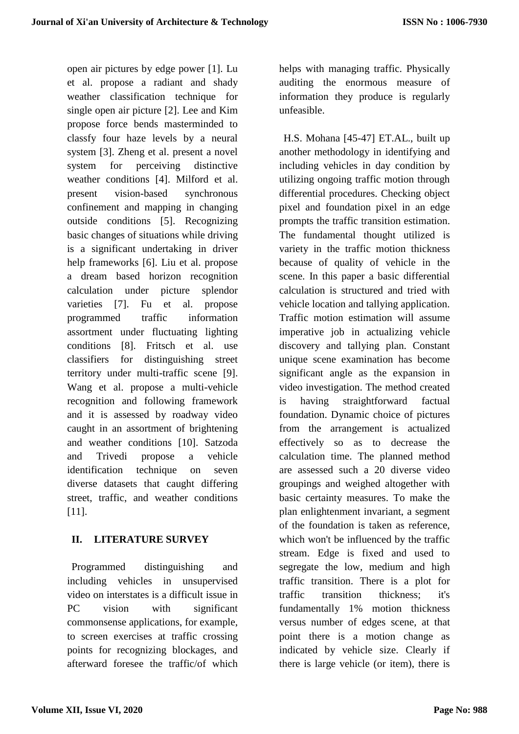open air pictures by edge power [1]. Lu et al. propose a radiant and shady weather classification technique for single open air picture [2]. Lee and Kim propose force bends masterminded to classfy four haze levels by a neural system [3]. Zheng et al. present a novel system for perceiving distinctive weather conditions [4]. Milford et al. present vision-based synchronous confinement and mapping in changing outside conditions [5]. Recognizing basic changes of situations while driving is a significant undertaking in driver help frameworks [6]. Liu et al. propose a dream based horizon recognition calculation under picture splendor varieties [7]. Fu et al. propose programmed traffic information assortment under fluctuating lighting conditions [8]. Fritsch et al. use classifiers for distinguishing street territory under multi-traffic scene [9]. Wang et al. propose a multi-vehicle recognition and following framework and it is assessed by roadway video caught in an assortment of brightening and weather conditions [10]. Satzoda and Trivedi propose a vehicle identification technique on seven diverse datasets that caught differing street, traffic, and weather conditions [11].

# **II. LITERATURE SURVEY**

Programmed distinguishing and including vehicles in unsupervised video on interstates is a difficult issue in PC vision with significant commonsense applications, for example, to screen exercises at traffic crossing points for recognizing blockages, and afterward foresee the traffic/of which

helps with managing traffic. Physically auditing the enormous measure of information they produce is regularly unfeasible.

H.S. Mohana [45-47] ET.AL., built up another methodology in identifying and including vehicles in day condition by utilizing ongoing traffic motion through differential procedures. Checking object pixel and foundation pixel in an edge prompts the traffic transition estimation. The fundamental thought utilized is variety in the traffic motion thickness because of quality of vehicle in the scene. In this paper a basic differential calculation is structured and tried with vehicle location and tallying application. Traffic motion estimation will assume imperative job in actualizing vehicle discovery and tallying plan. Constant unique scene examination has become significant angle as the expansion in video investigation. The method created is having straightforward factual foundation. Dynamic choice of pictures from the arrangement is actualized effectively so as to decrease the calculation time. The planned method are assessed such a 20 diverse video groupings and weighed altogether with basic certainty measures. To make the plan enlightenment invariant, a segment of the foundation is taken as reference, which won't be influenced by the traffic stream. Edge is fixed and used to segregate the low, medium and high traffic transition. There is a plot for traffic transition thickness; it's fundamentally 1% motion thickness versus number of edges scene, at that point there is a motion change as indicated by vehicle size. Clearly if there is large vehicle (or item), there is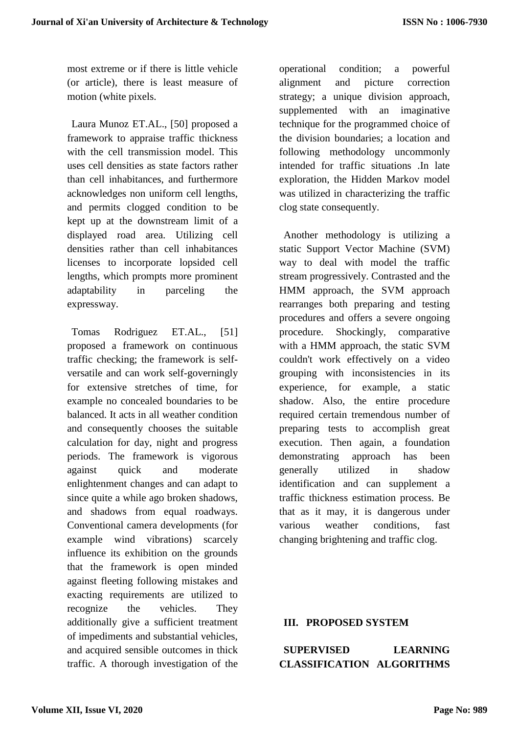most extreme or if there is little vehicle (or article), there is least measure of motion (white pixels.

Laura Munoz ET.AL., [50] proposed a framework to appraise traffic thickness with the cell transmission model. This uses cell densities as state factors rather than cell inhabitances, and furthermore acknowledges non uniform cell lengths, and permits clogged condition to be kept up at the downstream limit of a displayed road area. Utilizing cell densities rather than cell inhabitances licenses to incorporate lopsided cell lengths, which prompts more prominent adaptability in parceling the expressway.

Tomas Rodriguez ET.AL., [51] proposed a framework on continuous traffic checking; the framework is selfversatile and can work self-governingly for extensive stretches of time, for example no concealed boundaries to be balanced. It acts in all weather condition and consequently chooses the suitable calculation for day, night and progress periods. The framework is vigorous against quick and moderate enlightenment changes and can adapt to since quite a while ago broken shadows, and shadows from equal roadways. Conventional camera developments (for example wind vibrations) scarcely influence its exhibition on the grounds that the framework is open minded against fleeting following mistakes and exacting requirements are utilized to recognize the vehicles. They additionally give a sufficient treatment of impediments and substantial vehicles, and acquired sensible outcomes in thick traffic. A thorough investigation of the

operational condition; a powerful alignment and picture correction strategy; a unique division approach, supplemented with an imaginative technique for the programmed choice of the division boundaries; a location and following methodology uncommonly intended for traffic situations .In late exploration, the Hidden Markov model was utilized in characterizing the traffic clog state consequently.

Another methodology is utilizing a static Support Vector Machine (SVM) way to deal with model the traffic stream progressively. Contrasted and the HMM approach, the SVM approach rearranges both preparing and testing procedures and offers a severe ongoing procedure. Shockingly, comparative with a HMM approach, the static SVM couldn't work effectively on a video grouping with inconsistencies in its experience, for example, a static shadow. Also, the entire procedure required certain tremendous number of preparing tests to accomplish great execution. Then again, a foundation demonstrating approach has been generally utilized in shadow identification and can supplement a traffic thickness estimation process. Be that as it may, it is dangerous under various weather conditions, fast changing brightening and traffic clog.

#### **III. PROPOSED SYSTEM**

**SUPERVISED LEARNING CLASSIFICATION ALGORITHMS**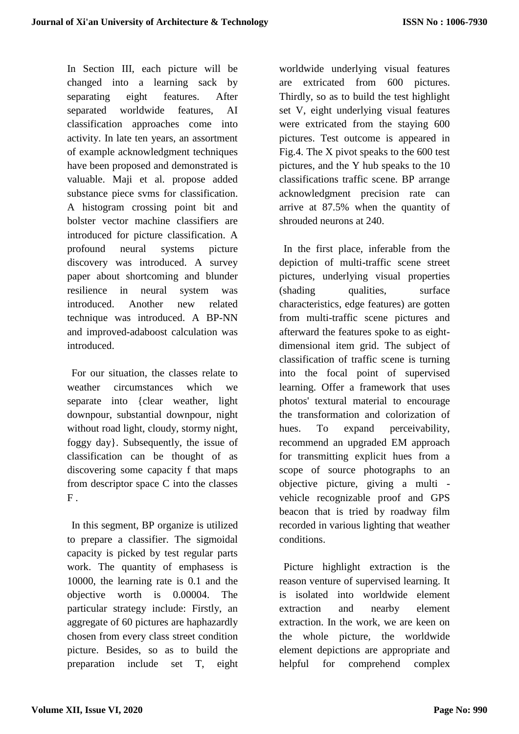In Section III, each picture will be changed into a learning sack by separating eight features. After separated worldwide features, AI classification approaches come into activity. In late ten years, an assortment of example acknowledgment techniques have been proposed and demonstrated is valuable. Maji et al. propose added substance piece svms for classification. A histogram crossing point bit and bolster vector machine classifiers are introduced for picture classification. A profound neural systems picture discovery was introduced. A survey paper about shortcoming and blunder resilience in neural system was introduced. Another new related technique was introduced. A BP-NN and improved-adaboost calculation was introduced.

For our situation, the classes relate to weather circumstances which we separate into {clear weather, light downpour, substantial downpour, night without road light, cloudy, stormy night, foggy day}. Subsequently, the issue of classification can be thought of as discovering some capacity f that maps from descriptor space C into the classes  $F$ .

In this segment, BP organize is utilized to prepare a classifier. The sigmoidal capacity is picked by test regular parts work. The quantity of emphasess is 10000, the learning rate is 0.1 and the objective worth is 0.00004. The particular strategy include: Firstly, an aggregate of 60 pictures are haphazardly chosen from every class street condition picture. Besides, so as to build the preparation include set T, eight

worldwide underlying visual features are extricated from 600 pictures. Thirdly, so as to build the test highlight set V, eight underlying visual features were extricated from the staying 600 pictures. Test outcome is appeared in Fig.4. The X pivot speaks to the 600 test pictures, and the Y hub speaks to the 10 classifications traffic scene. BP arrange acknowledgment precision rate can arrive at 87.5% when the quantity of shrouded neurons at 240.

In the first place, inferable from the depiction of multi-traffic scene street pictures, underlying visual properties (shading qualities, surface) characteristics, edge features) are gotten from multi-traffic scene pictures and afterward the features spoke to as eightdimensional item grid. The subject of classification of traffic scene is turning into the focal point of supervised learning. Offer a framework that uses photos' textural material to encourage the transformation and colorization of hues. To expand perceivability, recommend an upgraded EM approach for transmitting explicit hues from a scope of source photographs to an objective picture, giving a multi vehicle recognizable proof and GPS beacon that is tried by roadway film recorded in various lighting that weather conditions.

Picture highlight extraction is the reason venture of supervised learning. It is isolated into worldwide element extraction and nearby element extraction. In the work, we are keen on the whole picture, the worldwide element depictions are appropriate and helpful for comprehend complex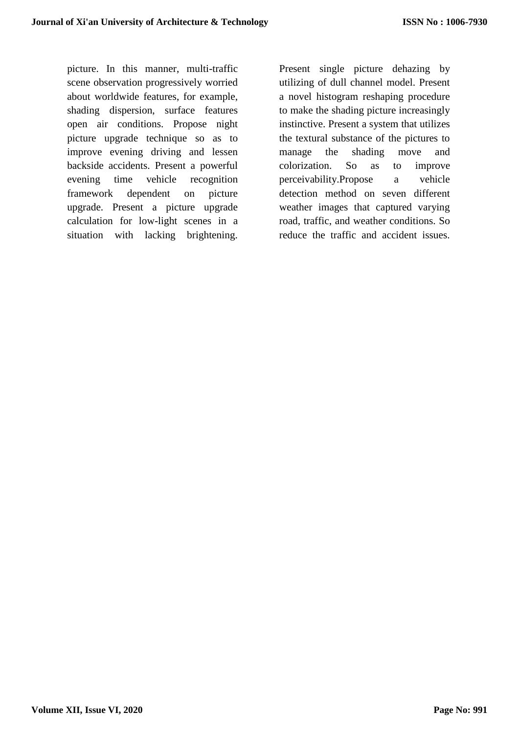picture. In this manner, multi-traffic scene observation progressively worried about worldwide features, for example, shading dispersion, surface features open air conditions. Propose night picture upgrade technique so as to improve evening driving and lessen backside accidents. Present a powerful evening time vehicle recognition framework dependent on picture upgrade. Present a picture upgrade calculation for low-light scenes in a situation with lacking brightening.

Present single picture dehazing by utilizing of dull channel model. Present a novel histogram reshaping procedure to make the shading picture increasingly instinctive. Present a system that utilizes the textural substance of the pictures to manage the shading move and colorization. So as to improve perceivability.Propose a vehicle detection method on seven different weather images that captured varying road, traffic, and weather conditions. So reduce the traffic and accident issues.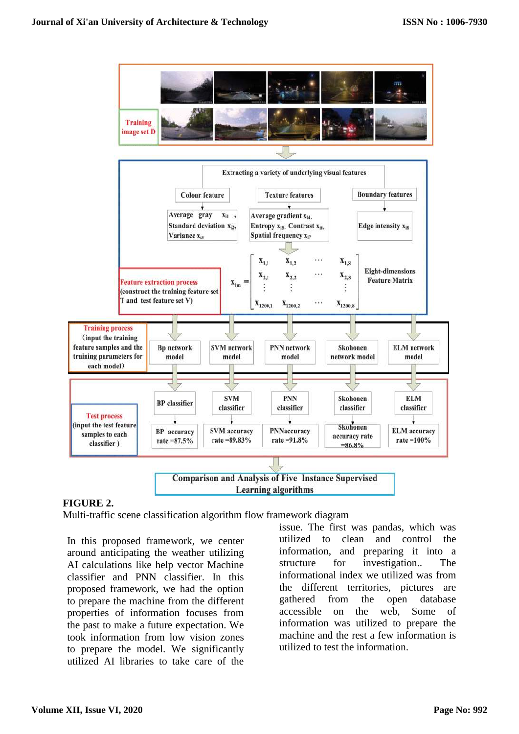

#### **FIGURE 2.**

Multi-traffic scene classification algorithm flow framework diagram

In this proposed framework, we center around anticipating the weather utilizing AI calculations like help vector Machine classifier and PNN classifier. In this proposed framework, we had the option to prepare the machine from the different properties of information focuses from the past to make a future expectation. We took information from low vision zones to prepare the model. We significantly utilized AI libraries to take care of the

issue. The first was pandas, which was utilized to clean and control the information, and preparing it into a structure for investigation.. The informational index we utilized was from the different territories, pictures are gathered from the open database accessible on the web, Some of information was utilized to prepare the machine and the rest a few information is utilized to test the information.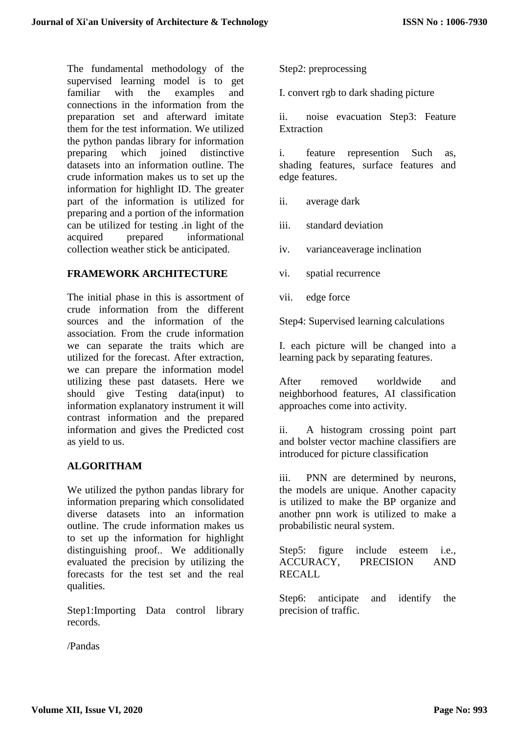The fundamental methodology of the supervised learning model is to get familiar with the examples and connections in the information from the preparation set and afterward imitate them for the test information. We utilized the python pandas library for information preparing which joined distinctive datasets into an information outline. The crude information makes us to set up the information for highlight ID. The greater part of the information is utilized for preparing and a portion of the information can be utilized for testing .in light of the acquired prepared informational acquired prepared informational collection weather stick be anticipated.

# **FRAMEWORK ARCHITECTURE**

The initial phase in this is assortment of crude information from the different sources and the information of the association. From the crude information we can separate the traits which are utilized for the forecast. After extraction, we can prepare the information model utilizing these past datasets. Here we should give Testing data(input) to information explanatory instrument it will contrast information and the prepared information and gives the Predicted cost as yield to us.

## **ALGORITHAM**

We utilized the python pandas library for information preparing which consolidated diverse datasets into an information outline. The crude information makes us to set up the information for highlight distinguishing proof.. We additionally evaluated the precision by utilizing the forecasts for the test set and the real qualities.

Step1:Importing Data control library records.

/Pandas

Step2: preprocessing

I. convert rgb to dark shading picture

ii. noise evacuation Step3: Feature Extraction

i. feature represention Such as, shading features, surface features and edge features.

ii. average dark

iii. standard deviation

iv. varianceaverage inclination

vi. spatial recurrence

vii. edge force

Step4: Supervised learning calculations

I. each picture will be changed into a learning pack by separating features.

After removed worldwide and neighborhood features, AI classification approaches come into activity.

ii. A histogram crossing point part and bolster vector machine classifiers are introduced for picture classification

iii. PNN are determined by neurons, the models are unique. Another capacity is utilized to make the BP organize and another pnn work is utilized to make a probabilistic neural system.

Step5: figure include esteem i.e., ACCURACY, PRECISION AND RECALL

Step6: anticipate and identify the precision of traffic.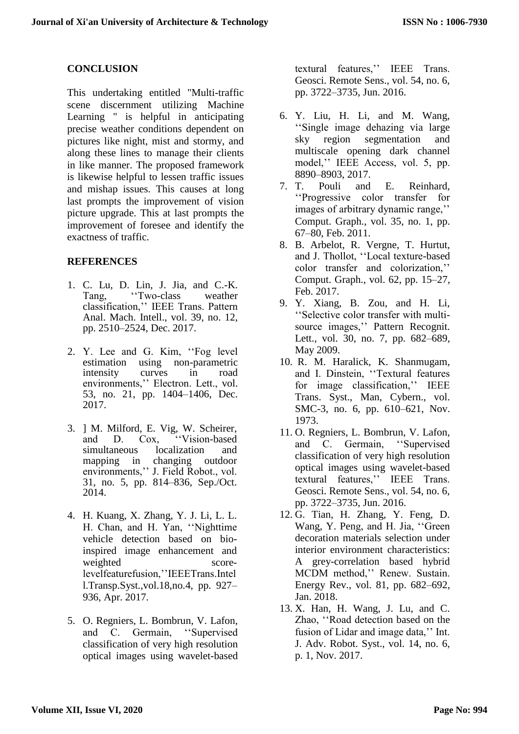# **CONCLUSION**

This undertaking entitled "Multi-traffic scene discernment utilizing Machine Learning " is helpful in anticipating precise weather conditions dependent on pictures like night, mist and stormy, and along these lines to manage their clients in like manner. The proposed framework is likewise helpful to lessen traffic issues and mishap issues. This causes at long last prompts the improvement of vision picture upgrade. This at last prompts the improvement of foresee and identify the exactness of traffic.

#### **REFERENCES**

- 1. C. Lu, D. Lin, J. Jia, and C.-K. Tang, ''Two-class weather classification,'' IEEE Trans. Pattern Anal. Mach. Intell., vol. 39, no. 12, pp. 2510–2524, Dec. 2017.
- 2. Y. Lee and G. Kim, ''Fog level estimation using non-parametric intensity curves in road environments,'' Electron. Lett., vol. 53, no. 21, pp. 1404–1406, Dec. 2017.
- 3. ] M. Milford, E. Vig, W. Scheirer, and D. Cox, ''Vision-based simultaneous localization and mapping in changing outdoor environments,'' J. Field Robot., vol. 31, no. 5, pp. 814–836, Sep./Oct. 2014.
- 4. H. Kuang, X. Zhang, Y. J. Li, L. L. H. Chan, and H. Yan, ''Nighttime vehicle detection based on bioinspired image enhancement and weighted scorelevelfeaturefusion,''IEEETrans.Intel l.Transp.Syst.,vol.18,no.4, pp. 927– 936, Apr. 2017.
- 5. O. Regniers, L. Bombrun, V. Lafon, and C. Germain, ''Supervised classification of very high resolution optical images using wavelet-based

textural features,'' IEEE Trans. Geosci. Remote Sens., vol. 54, no. 6, pp. 3722–3735, Jun. 2016.

- 6. Y. Liu, H. Li, and M. Wang, ''Single image dehazing via large sky region segmentation and multiscale opening dark channel model,'' IEEE Access, vol. 5, pp.
- 8890–8903, 2017.<br>7. T. Pouli and Pouli and E. Reinhard, ''Progressive color transfer for images of arbitrary dynamic range,'' Comput. Graph., vol. 35, no. 1, pp. 67–80, Feb. 2011.
- 8. B. Arbelot, R. Vergne, T. Hurtut, and J. Thollot, ''Local texture-based color transfer and colorization,'' Comput. Graph., vol. 62, pp. 15–27, Feb. 2017.
- 9. Y. Xiang, B. Zou, and H. Li, ''Selective color transfer with multisource images,'' Pattern Recognit. Lett., vol. 30, no. 7, pp. 682–689, May 2009.
- 10. R. M. Haralick, K. Shanmugam, and I. Dinstein, ''Textural features for image classification,'' IEEE Trans. Syst., Man, Cybern., vol. SMC-3, no. 6, pp. 610–621, Nov. 1973.
- 11. O. Regniers, L. Bombrun, V. Lafon, and C. Germain, ''Supervised classification of very high resolution optical images using wavelet-based textural features,'' IEEE Trans. Geosci. Remote Sens., vol. 54, no. 6, pp. 3722–3735, Jun. 2016.
- 12. G. Tian, H. Zhang, Y. Feng, D. Wang, Y. Peng, and H. Jia, ''Green decoration materials selection under interior environment characteristics: A grey-correlation based hybrid MCDM method,'' Renew. Sustain. Energy Rev., vol. 81, pp. 682–692, Jan. 2018.
- 13. X. Han, H. Wang, J. Lu, and C. Zhao, ''Road detection based on the fusion of Lidar and image data,'' Int. J. Adv. Robot. Syst., vol. 14, no. 6, p. 1, Nov. 2017.